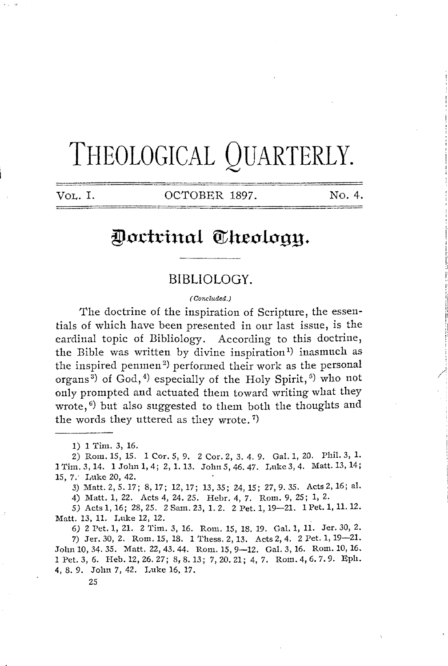# **THEOLOGICAL QUARTERLY.**

VOL. I. COTOBER 1897. No. 4.

## **@(tctri1-tal Qtlt.ec lcgy.**

#### **BIBLIOLOGY.**

( Concluded.)

The doctrine of the inspiration of Scripture, the essentials of which have been presented in our last issue, is the cardinal topic of Bibliology. According to this doctrine, the Bible was written by divine inspiration<sup>1</sup>) inasmuch as the inspired penmen<sup>2)</sup> performed their work as the personal organs<sup>3</sup>) of God,<sup>4</sup>) especially of the Holy Spirit,<sup>5</sup>) who not only prompted and actuated them toward writing what they wrote, $\frac{6}{3}$  but also suggested to them both the thoughts and the words they uttered as they wrote.<sup>7)</sup>

1) 1 Tim. 3, 16.

2) Rom. 15, 15. 1 Cor. 5, 9. 2 Cor. 2, 3. 4. 9. Gal. 1, 20. Phil. 3, 1. l Tim. 3, 14. **1** John 1, 4; 2, 1.13. John5, 46. 47. Luke 3, 4. Matt.13, 14; 15, 7. I,uke 20, 42.

3) Matt.2,5.17; 8,17; 12,17; 13,35; 24,15; 27,9.35. Aets2,16; al.

4) Matt. 1, 22. Acts 4, 24. 25. Hebr. 4, 7. Rom. 9, 25; 1, 2.

5) Acts 1, 16; 28, 25. 2 Sam. 23, 1. 2. 2 Pet. 1, 19-21. 1 Pet. **1,** 11. 12. Matt. 13, **11.** Luke 12, 12.

*6)* 2 Pet. 1, 21. 2 Tim. 3, 16. Rom. 15, 18. 19. Gal. 1, 11. Jer. 30, 2. 7) Jer. 30, 2. Rom. 15, 18. 1 'l'hess. 2, 13. Acts 2, 4. 2 Pet. **1,** 19-21. John 10, 34. 35. Matt. 22, 43. 44. Rom. 15, 9-12. Gal. 3, 16. Rom. 10, 16. lPet.3,6. Heb.12,26.27; 8,8.13; 7,20.21; 4,7. Rom.4,6.7.9. Eph. **4,** 8. 9. John 7, 42. Luke 16, 17.

*25*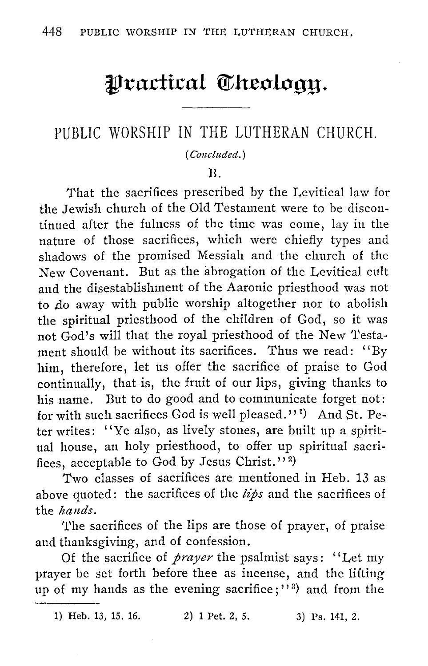## Practical Theology.

### PUBLIC WORSHIP IN THE LUTHERAN CHURCH.

#### *(Concluded.)*

#### B.

That the sacrifices prescribed by the Levitical law for the Jewish church of the Old Testament were to be discontinued after the fulness of the time was come, lay in the nature of those sacrifices, which were chiefly types and shadows of the promised Messiah and the church of the New Covenant. But as the abrogation of the Levitical cult and the disestablishment of the Aaronic priesthood was not to do away with public worship altogether nor to abolish the spiritual priesthood of the children of God, so it was not God's will that the royal priesthood of the New Testament should be without its sacrifices. Thus we read: "By him, therefore, let us offer the sacrifice of praise to God continually, that is, the fruit of our lips, giving thanks to his name. But to do good and to communicate forget not: for with such sacrifices God is well pleased.'' 1 ) And St. Peter writes: "Ye also, as lively stones, are built up a spiritual house, an holy priesthood, to offer up spiritual sacrifices, acceptable to God by Jesus Christ."<sup>2</sup>)

Two classes of sacrifices are mentioned in Heb. 13 as above quoted: the sacrifices of the *lips* and the sacrifices of the *hands*.

The sacrifices of the lips are those of prayer, of praise and thanksgiving, and of confession.

Of the sacrifice of *prayer* the psalmist says: ''Let my prayer be set forth before thee as incense, and the lifting up of my hands as the evening sacrifice;"<sup>3</sup>) and from the

1) Heb. 13, 15. 16. 2) 1 Pet. 2, 5. 3) Ps. 141, 2.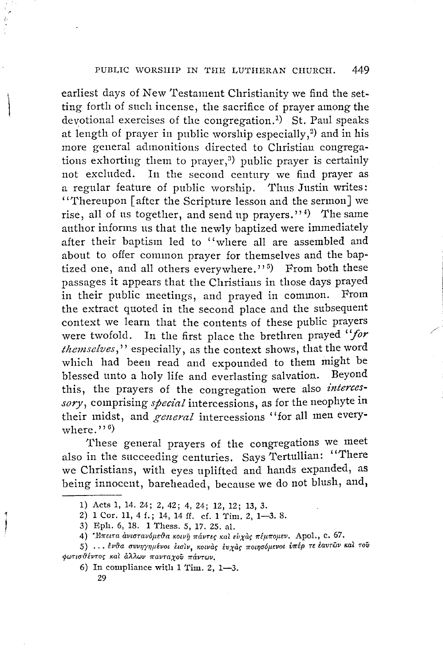earliest days of New Testament Christianity we find the setting forth of such incense, the sacrifice of prayer among the devotional exercises of the congregation . 1) St. Paul speaks at length of prayer in public worship especially, $2$ ) and in his more general admonitions directed to Christian congregations exhorting them to prayer,<sup>3)</sup> public prayer is certainly not excluded. In the second century we find prayer as a regular feature of public worship. Thus Justin writes: "Thereupon [after the Scripture lesson and the sermon] we rise, all of us together, and send up prayers." $^{\prime\prime}$ ) The same author informs us that the newly baptized were immediately after their baptism led to ''where all are assembled and about to offer common prayer for themselves and the baptized one, and all others everywhere.''<sup>5</sup>) From both these passages it appears that the Christians in those days prayed in their public meetings, and prayed in common. From the extract quoted in the second place and the subsequent context we learn that the contents of these public prayers were twofold. In the first place the brethren prayed *''for*  themselves," especially, as the context shows, that the word which had been read and expounded to them might be blessed unto a holy life and everlasting salvation. Bevond blessed unto a holy life and everlasting salvation. this, the prayers of the congregation were also *interces*sory, comprising *special* intercessions, as for the neophyte in their midst, and *general* intercessions ''for all men everywhere  $\cdot$  '  $\cdot$   $\cdot$   $\cdot$   $\cdot$   $\cdot$ 

These general prayers of the congregations we meet also in the succeeding centuries. Says Tertullian: "There we Christians, with eyes uplifted and hands expanded, as being innocent, bareheaded, because we do not blush, and,

1

<sup>1)</sup> Acts 1, 14. 24; 2, 42; 4, 24; 12, 12; 13, 3.

<sup>2)</sup> **1** Cor. 11, 4 f.; 14, 14 ff. cf. **1** Tim. 2, 1-3. 8.

<sup>3)</sup> Eph. 6, 18. **1** 'l'hess. 5, 17. 25. nl.

<sup>4) &#</sup>x27;Επειτα ανιστανόμεθα κοινη πάντες και ευχας πέμπομεν. Apol., c. 67.

<sup>5) ...</sup> ένθα συνηγημένοι εισιν, κοινας ευχας ποιησόμενοι υπέρ τε έαυτών και τού  $\phi$ ωτισθέντος και άλλων πανταχού πάντων.

<sup>6)</sup> In compliance with **1** Tim. 2, 1-3.

<sup>29</sup>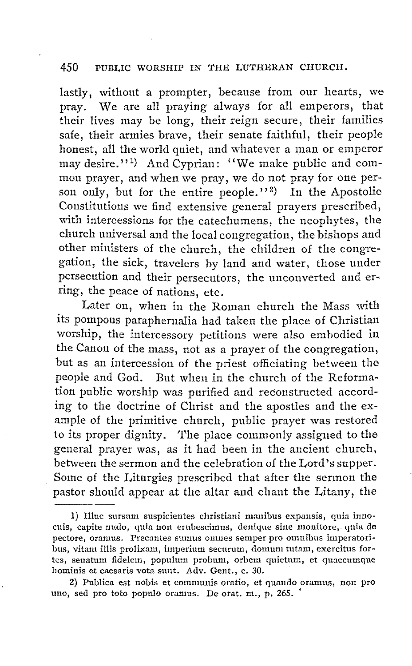lastly, without a prompter, because from our hearts, we pray. We are all praying always for all emperors, that their lives may be long, their reign secure, their families safe, their armies brave, their senate faithful, their people honest, all the world quiet, and whatever a man or emperor may desire." <sup>1</sup> ) And Cyprian: "We make public and common prayer, and when we pray, we do not pray for one person only, but for the entire people."<sup>2</sup>) In the Apostolic Constitutions we find extensive general prayers prescribed, with intercessions for the catechumens, the neophytes, the church universal and the local congregation, the bishops and other ministers of the church, the children of the congregation, the sick, travelers by land and water, those under persecution and their persecutors, the unconverted and erring, the peace of nations, etc.

Later on, when in the Roman church the Mass with its pompous paraphernalia had taken the place of Christian worship, the intercessory petitions were also embodied iu, the Canon of the mass, not as a prayer of the congregation, but as an intercession of the priest officiating between the people and God. But when in the church of the Reforma~ tion public worship was purified and reconstructed according to the doctrine of Christ and the apostles and the example of the primitive church, public prayer was restored to its proper dignity. The place commonly assigned to the general prayer was, as it had been in the ancient church, between the sermon and the celebration of the Lord's supper. Some of the Liturgies prescribed that after the sermon the pastor should appear at the altar and chant the Litany, the

<sup>1)</sup> Illuc sursum suspicientes christiani manibus expansis, quia innocuis, capite nm1o, quia non erubescinms, denique sine monitore,. quia de pectore, oranus. Precantes sumus omnes semper pro omnibus imperatoribus, vitam illis prolixam, imperium securum, domum tutam, exercitus fortes, senatum fidelem, populum probnm, orbem quietum, et quaecumque hominis et caesaris vota sunt. Adv. Gent., c. 30.

<sup>2)</sup> Publica est nobis et communis oratio, et quando oramus, non pro uno, sed pro toto populo oramus. De orat. m., p. 265. •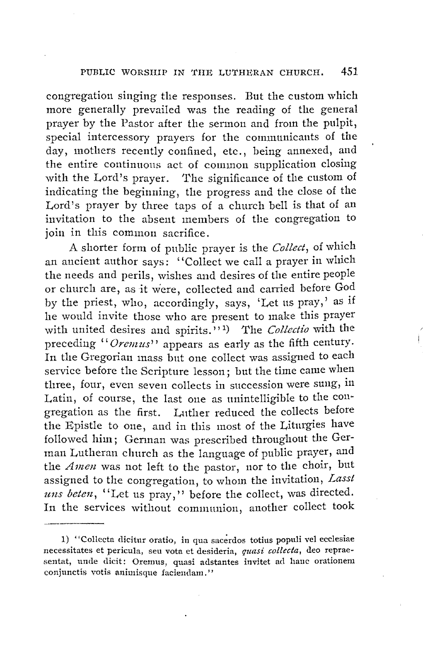congregation singing the responses. But the custom which more generally prevailed was the reading of the general prayer by the Pastor after the sermon and from the pulpit, special intercessory prayers for the communicants of the day, mothers recently confined, etc., being annexed, and the entire continuous act of common supplication closing with the Lord's prayer. The significance of the custom of indicating the beginning, the progress and the close of the Lord's prayer by three taps of a church bell is that of an invitation to the absent members of the congregation to join in this common sacrifice.

A shorter form of public prayer is the *Collect,* of which an ancient author says: ''Collect we call a prayer in which the needs and perils, wishes and desires of the entire people or church are, as it were, collected and carried before God by the priest, who, accordingly, says, 'Let us pray,' as if he would invite those who are present to make this prayer with united desires and spirits.<sup>''</sup>,'<sup>1</sup>) The *Collectio* with the preceding "Oremus" appears as early as the fifth century. In the Gregorian mass but one collect was assigned to each service before the Scripture lesson; but the time came when three, four, even seven collects in succession were sung, in Latin, of course, the last one as unintelligible to the congregation as the first. Luther reduced the collects before the Epistle to one, and in this most of the Liturgies have followed him; German was prescribed throughout the German Lutheran church as the language of public prayer, and the *Amen* was not left to the pastor, nor to the choir, but assigned to the congregation, to whom the invitation, *Lass!*  uns beten, "Let us pray," before the collect, was directed. In the services without communion, another collect took

<sup>1) &</sup>quot;Collecta dicitur oratio, in qua sacerdos totius populi vel ecclesiae necessitates et pericula, seu vota et desideria, *quasi collecta,* deo repraesentat, unde dicit: Oremus, quasi adstantes invitet ad hanc orationem conjunctis votis animisque faciendam."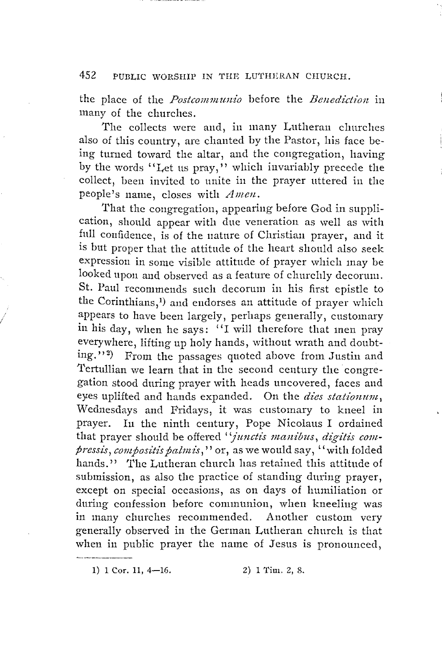the place of the *Postcommunio* before the *Benediction* in many of the churches.

The collects were and, in many Lutheran churches also of this country, are chanted by the Pastor, his face being turned toward the altar, and the congregation, having by the words "Let us pray," which invariably precede the collect, been invited to unite in the prayer uttered in the people's name, closes with *Amen.* 

That the congregation, appearing before God in supplication, should appear with due veneration as well as with full confidence, is of the nature of Christian prayer, and it is but proper that the attitude of the heart should also seek expression in some visible attitude of prayer which may be looked upon and observed as a feature of churchly decorum. St. Paul recommends such decorum in his first epistle to the Corinthians,<sup>1</sup>) and endorses an attitude of prayer which appears to have been largely, perhaps generally, customary in his day, when he says: "I will therefore that men pray everywhere, lifting up holy hands, without wrath and doubting."<sup>2</sup>) From the passages quoted above from Justin and 'I'ertullian we learn that in the second century the congregation stood during prayer with heads uncovered, faces and eyes uplifted and hands expanded. On the *dies stationum*, 'Wednesdays and Fridays, it was customary to kneel in prayer. In the ninth century, Pope Nicolaus I ordained that prayer should be offered "junctis manibus, digitis compressis, compositis palmis," or, as we would say, "with folded hands." The Lutheran church has retained this attitude of submission, as also the practice of standing during prayer, except on special occasions, as on days of humiliation or during confession before communion, when kneeling was in many churches recommended. Another custom very generally observed in the German Lutheran church is that when in public prayer the name of Jesus is pronounced,

1) 1 Cor. 11, 4-16. 2) 1 Tim. 2, 8.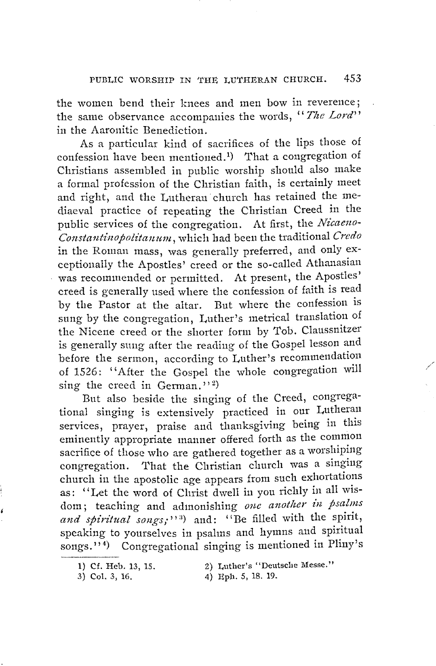the women bend their knees and men bow in reverence; the same observance accompanies the words, '' *The Lord''*  in the Aaronitic Benediction.

As a particular kind of sacrifices of the lips those of confession have been mentioned.<sup>1</sup>) That a congregation of Christians assembled in public worship should also make a formal profession of the Christian faith, is certainly meet and right, and the Lutheran church has retained the mediaeval practice of repeating the Christian Creed in the public services of the congregation. At first, the *Nicaeno-Constantinopolitanwn,* which had been the traditional *Credo*  in the Roman mass, was generally preferred, and only exceptionally the Apostles' creed or the so-called Athanasian was recommended or permitted. At present, the Apostles' creed is generally used where the confession of faith is read by the Pastor at the altar. But where the confession is sung by the congregation, Luther's metrical translation of the Nicene creed or the shorter form by Tob. Claussnitzer is generally sung after the reading of the Gospel lesson and before the sermon, according to Luther's recommendation of 1526: '' After the Gospel the whole congregation will sing the creed in German."<sup>2</sup>)

But also beside the singing of the Creed, congregational singing is extensively practiced in our Lutheran services, prayer, praise and thanksgiving being in this eminently appropriate manner offered forth as the common sacrifice of those who are gathered together as a worshiping congregation. That the Christian church was a singing church in the apostolic age appears from such exhortations as: "Let the word of Christ dwell in you richly in all wisdom; teaching and admonishing *one anotlier in psalms*  and spiritual songs;"<sup>3</sup>) and: "Be filled with the spirit, speaking to yourselves in psalms and hymns and spiritual songs."<sup>4</sup>) Congregational singing is mentioned in Pliny's

4) Eph. 5, 18. 19.

/

<sup>1)</sup> Cf. Heb. 13, 15. 2) Luther's "Deutsche Messe."

<sup>3)</sup> Col. 3, 16.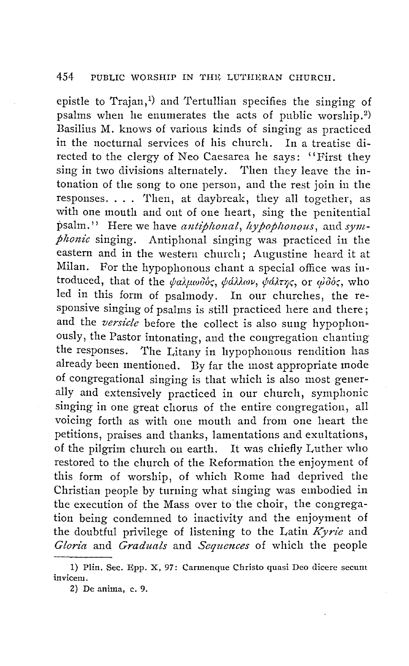epistle to Trajan,<sup>1)</sup> and Tertullian specifies the singing of psalms when he enumerates the acts of public worship. 2) Basilius M. knows of various kinds of singing as practiced in the nocturnal services of his church. In a treatise directed to the clergy of Neo Caesarea he says: "First they sing in two divisions alternately. Then they leave the intonation of the song to one person, and the rest join in the responses. . . . 1'hen, at daybreak, they all together, as with one mouth and ont of one heart, sing the penitential psalm." Here we have *antiphonal*, *hypophonous*, and *symphonic* singing. Antiphonal singing was practiced in the eastern and in the western church; Augustine heard it at Milan. For the hypophonous chant a special office was introduced, that of the  $\psi$ *alpwoods*,  $\psi$ *dllav,*  $\psi$ *dlargs*, or  $\psi$ *dds*, who led in this form of psalmody. In our churches, the responsive singing of psalms is still practiced here and there; and the *versicle* before the collect is also sung hypophonously, the Pastor intonating, and the congregation chanting the responses. The Litany in hypophonous rendition has already been mentioned. By far the most appropriate mode of congregational singing is that which is also most generally and extensively practiced in our church, symphonic singing in one great chorus of the entire congregation, all voicing forth as with one mouth and from one heart the petitions, praises and thanks, lamentations and exultations, of the pilgrim church on earth. It was chiefly Luther who restored to the church of the Reformation the enjoyment of this form of worship, of which Rome had deprived the Christian people by turning what singing was embodied in the execution of the Mass over to the choir, the congregation being condemned to inactivity and the enjoyment of the doubtful privilege of listening to the Latin *Kyrie* and *Gloria* and *Graduals* and *Sequences* of which the people

<sup>1)</sup> Plin. Sec. Epp. X, 97: Carmenque Christo quasi Deo dicere secum inviceru.

<sup>2)</sup> De anirua, c. 9.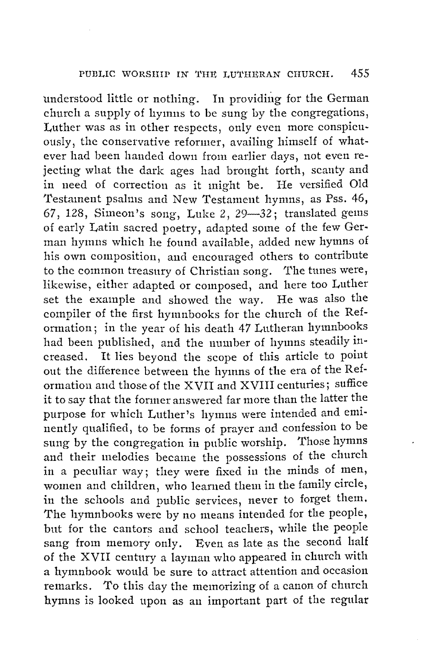understood little or nothing. In providing for the German church a supply of hymns to be sung by the congregations, Luther was as in other respects, only even more conspicuously, the conservative reformer, availing himself of whatever had been handed down from earlier days, not even rejecting what the dark ages had brought forth, scanty and in need of correction as it might be. He versified Old Testament psalms and New Testament hymns, as Pss. 46, 67, 128, Simeon's song, Luke 2,  $29-32$ ; translated gems of early Latin sacred poetry, adapted some of the few Ger• man hymns which he found available, added new hymns of his own composition, and encouraged others to contribute to the common treasury of Christian song. The tunes were, likewise, either adapted or composed, and here too Luther set the example and showed the way. He was also the set the example and showed the way. compiler of the first hymnbooks for the church of the Reformation; in the year of his death 47 Lutheran hymnbooks had been published, and the number of hymns steadily increased. It lies beyond the scope of this article to point out the difference between the hymns of the era of the Reformation and those of the XVII and XVIII centuries; suffice it to say that the former answered far more than the latter the purpose for which Luther's hymns were intended and eminently qualified, to be forms of prayer and confession to be sung by the congregation in public worship. Those hymns and their melodies became the possessions of the church in a peculiar way; they were fixed in the minds of men, women and children, who learned them in the family circle, in the schools and public services, never to forget them. The hymnbooks were by no means intended for the people, but for the cantors and school teachers, while the people sang from memory only. Even as late as the second half of the XVII century a layman who appeared in church with a hymnbook would be sure to attract attention and occasion remarks. To this day the memorizing of a canon of church hymns is looked upon as an important part of the regular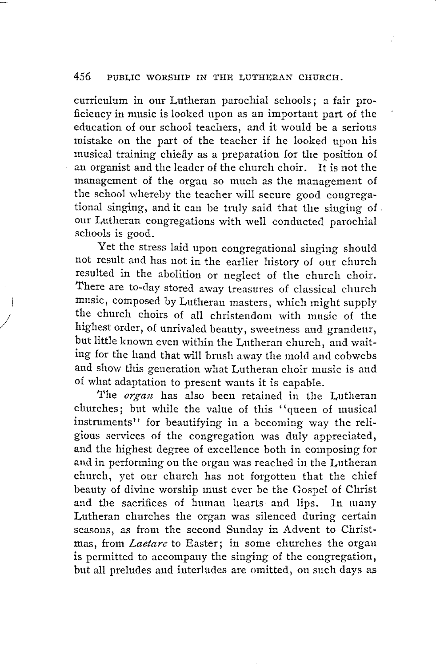curriculum in our Lutheran parochial schools; a fair pro~ ficiency in music is looked upon as an important part of the education of our school teachers, and it would be a serious mistake on the part of the teacher if he looked upon his musical training chiefly as a preparation for the position of an organist and the leader of the church choir. It is not the management of the organ so much as the management of the school whereby the teacher will secure good congregational singing, and it can be truly said that the singing of . our Lutheran congregations with well conducted parochial schools is good.

Yet the stress laid upon congregational singing should not result and has not in the earlier history of our church resulted in the abolition or neglect of the church choir. There are to-day stored away treasures of classical church music, composed by Lutheran masters, which might supply the church choirs of all christendom with music of the highest order, of unrivaled beauty, sweetness and grandeur, but little known even within the Lutheran church, and waiting for the hand that will brush away the mold and cobwebs and show this generation what Lutheran choir music is and of what adaptation to present wants it is capable.

 $\mathbf{I}$ 

/

The *organ* has also been retained in the Lutheran churches; but while the value of this ''queen of musical instruments" for beautifying in a becoming way the religious services of the congregation was duly appreciated, and the highest degree of excellence both in composing for and in performing on the organ was reached in the Lutheran church, yet our church has not forgotten that the chief beauty of divine worship must ever be the Gospel of Christ and the sacrifices of human hearts and lips. In many Lutheran churches the organ was silenced during certain seasons, as from the second Sunday in Advent to Christmas, from *Laetare* to Easter; in some churches the organ is permitted to accompany the singing of the congregation, but all preludes and interludes are omitted, on such days as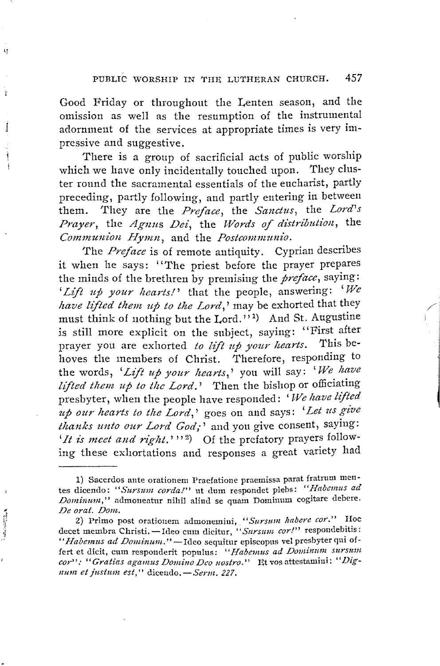Good Friday or throughout the Lenten season, and the omission as well as the resumption of the instrumental adornment of the services at appropriate times is very impressive and suggestive.

ŋ

ă

J

j

**BALLASTOCK** 

There is a group of sacrificial acts of public worship which we have only incidentally touched upon. They cluster round the sacramental essentials of the eucharist, partly preceding, partly following, and partly entering in between them. They are the *Preface,* the *Sandus,* the *Lord's Prayer, the Agnus Dei, the Words of distribution, the Commun-ion Eiymn,* and the *Postcommunio.* 

The *Preface* is of remote antiquity. Cyprian describes it when he says: ''The priest before the prayer prepares the minds of the brethren by premising the *preface,* saying: *'Lift up your hearts!'* that the people, answering: *'We have lifted them up to the Lord,'* may be exhorted that they must think of nothing but the Lord."<sup>1)</sup> And St. Augustine is still more explicit on the subject, saying: "First after prayer you are exhorted *to lift up your hearts*. This behoves the members of Christ. Therefore, responding to the words, 'Lift up your hearts,' you will say: 'We have *lifted them up to the Lord.'* Then the bishop or officiating presbyter, when the people have responded: 'We have lifted presbyter, when the people have responded: ' *TVe !tave lifted* ' . *up our hearts to the Lord,'* goes on and says: *Let us give thanks unto our Lord God,-'* and you give consent, saying: 'It is meet and right.'"<sup>2</sup>) Of the prefatory prayers following these exhortations and responses a great variety had

<sup>1)</sup> Sacerdos ante orationem I'raefatione praemissa parat fratrum mentes dicendo: *"Sursztm cordal"* nt dum respondet plebs: *"Habemus ad Dominmn,"* admoneatur nihil aliud se quam Domimim cogitare debere. *De orat. Dom.* 

<sup>2)</sup> Primo post orationem admonemini, "Sursum habere cor." Hoc decet membra Christi. - Ideo cum dicitur, "Sursum cor!" respondebitis: "Habemus ad Dominum." - Ideo sequitur episcopus vel presbyter qui offert et dicit, cum responderit populus: "Habemus ad Dominum sursum *cor' ':* '' *Gratias aganms Domino Deo nostro.''* Et vos attestamini: '' *Dignum et justum est,"* dicendo. - Serm. 227.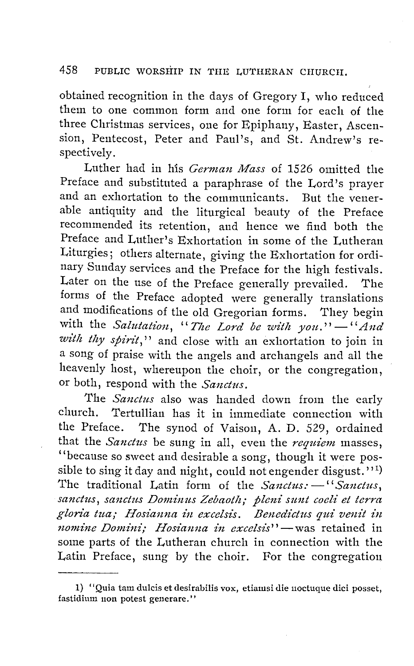obtained recognition in the days of Gregory I, who reduced them to one common form and one form for each of the three Christmas services, one for Epiphany, Easter, Ascension, Pentecost, Peter and Paul's, and St. Andrew's respectively.

Luther had in h'is *German Mass* of 1526 omitted the Preface and substituted a paraphrase of the Lord's prayer and an exhortation to the communicants. But the venerable antiquity and the liturgical beauty of the Preface recommended its retention, and hence we find both the Preface and Luther's Exhortation in some of the Lutheran Liturgies; others alternate, giving the Exhortation for ordinary Sunday services and the Preface for the high festivals. Later on the use of the Preface generally prevailed. The forms of the Preface adopted were generally translations and modifications of the old Gregorian forms. They begin with the *Salutation*, "The Lord be with you." - "And *with thy spirit,''* and close with an exhortation to join in a song of praise with the angels and archangels and all the heavenly host, whereupon the choir, or the congregation, or both, respond with the *Sanctus.* 

The *Sanctus* also was handed down from the early church. Tertullian has it in immediate connection with the Preface. The synod of Vaison, A. D. 529, ordained that the *Sanctus* be sung in all, even the *requiem* masses, "because so sweet and desirable a song, though it were possible to sing it day and night, could not engender disgust.'' $^{\rm 1)}$ The traditional Latin form of the *Sanctus*: - "Sanctus, sanctus, sanctus Dominus Zebaoth; pleni sunt coeli et terra gloria tua; *Hosianna in excelsis. Benedictus qui venit in nomine Domini; Hosianna in excelsis*"-was retained in some parts of the Lutheran church in connection with the Latin Preface, sung by the choir. For the congregation

<sup>1) &#</sup>x27;'Quia tam dulcis et desirabilis vox, etiamsi die noctuque dici posset, fastidium non potest generare."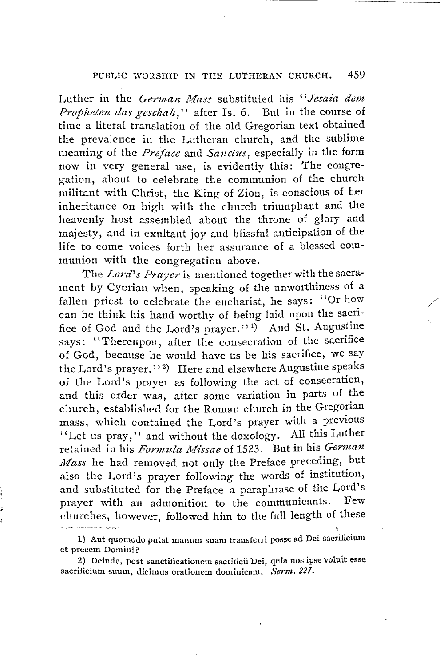Luther in the *German Mass* substituted his *"Jesaia dem Propheten das geschah*," after Is. 6. But in the course of time a literal translation of the old Gregorian text obtained the prevalence in the Lutheran church, and the sublime meaning of the *Preface* and *Sanctus*, especially in the form now in very general use, is evidently this: The congregation, about to celebrate the communion of the church militant with Christ, tlie King of Zion, is conscious of her inheritance on high with the church triumphant and the heavenly host assembled about the throne of glory and majesty, and in exultant joy and blissful anticipation of the life to come voices forth her assurance of a blessed communion with the congregation above.

The *Lord's Prayer* is mentioned together with the sacrament by Cyprian when, speaking of the unworthiness of a fallen priest to celebrate the eucharist, he says: ''Or how can he think his hand worthy of being laid upon the sacrifice of God and the Lord's prayer."<sup>1)</sup> And St. Augustine says: ''Thereupon, after the consecration of the sacrifice of God, because he would have us be his sacrifice, we say the Lord's prayer."<sup>2</sup>) Here and elsewhere Augustine speaks of the Lord's prayer as following the act of consecration, and this order was, after some variation in parts of the church, established for the Roman church in the Gregorian mass, which contained the Lord's prayer with a previous "Let us pray," and without the doxology. All this Luther retained in his *Formula Missae* of 1523. But in his *German Mass* he had removed not only the Preface preceding, but also the Lord's prayer following the words of institution, and substituted for the Preface a paraphrase of the Lord's prayer with an admonition to the communicants. churches, however, followed him to the full length of these

\

<sup>1)</sup> Aut quomodo putat mauum suani transferri posse ad Dei sacrificium et precem Domini?

<sup>2)</sup> Deiude, post sanctificatiouem sacrificii Dei, quia nos ipse voluit esse sacrificium suum, dicimus orationem dominicam. *Serm. 227.*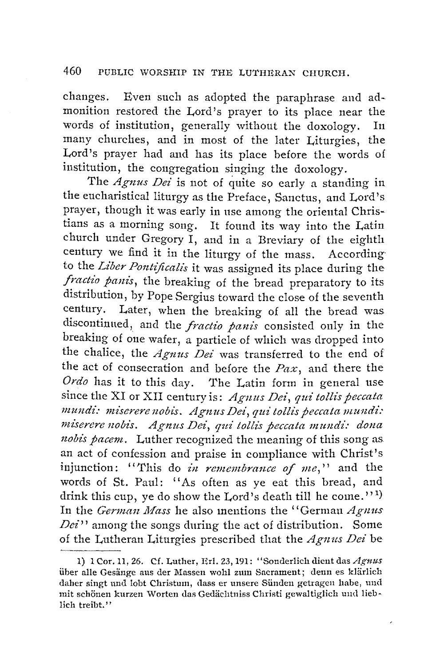changes. Even such as adopted the paraphrase and admonition restored the Lord's prayer to its place near the words of institution, generally without the doxology. In many churches, and in most of the later Liturgies, the Lord's prayer had and has its place before the words of institution, the congregation singing the doxology.

The *Agnus Dei* is not of quite so early a standing in the eucharistical liturgy as the Preface, Sanctus, and Lord's prayer, though it was early in nse among the oriental Christians as a morning song. It found its way into the Latin church under Gregory I, and in a Breviary of the eighth century we find it in the liturgy of the mass. According to the *Liber Pontificalis* it was assigned its place during the *fractio panis*, the breaking of the bread preparatory to its distribution, by Pope Sergius toward the close of the seventh century. Later, when the breaking of all the bread was discontinued, and the *fractio panis* consisted only in the breaking of one wafer, a particle of which was dropped into the chalice, the *Agnus Dei* was transferred to the end of the act of consecration and before the *Paz,* and there the *Ordo* has it to this day. The Latin form in general use since the XI or XII century is: *Agnus Dei, qui tollis peccata* mundi: miserere nobis. Agnus Dei, qui tollis peccata mundi: *miserere nobis. Agnus Dei, qui' tollis peccata mzmdi: dona nobis pacem.* Luther recognized the meaning of this song as an act of confession and praise in compliance with Christ's injunction: "This do *in remembrance of me*," and the words of St. Paul: "As often as ye eat this bread, and drink this cup, ye do show the Lord's death till he come.''  $^{\mathsf{1}}$  ) In the *Gennan Mass* he also mentions the "German *Agnus Dei"* among the songs during the act of distribution. Some of the Lutheran Liturgies prescribed that the *Agnus Dei* be

 $\overline{\phantom{a}}$ 

<sup>1) 1</sup> Cor.11, 26. Cf. Luther, Erl. 23,191: "Sonderlich dient das *Agnus*  über alle Gesänge aus der Massen wohl zum Sacrament; denn es klärlich daher singt und lobt Christum, dass er unsere Sünden getragen habe, und mit schönen kurzen Worten das Gedächtniss Christi gewaltiglich und lieblich treibt.''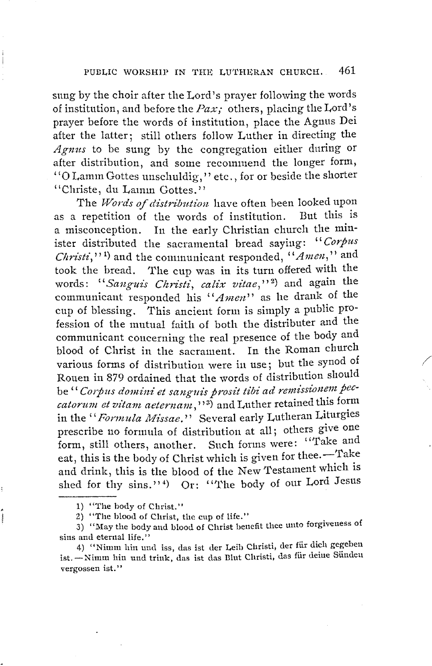sung by the choir after the Lord's prayer following the words of institution 1 and before the *Pax;* others, placing the Lord's prayer before the words of institution, place the Agnus Dei after the latter; still others follow Luther in directing the *Agnus* to be sung by the congregation either during or after distribution, and some recommend the longer form, "O Lamm Gottes unschuldig," etc., for or beside the shorter "Christe, du Lamm Gottes."

The *Words of distribution* have often been looked upon<br>repetition of the words of institution. But this is as a repetition of the words of institution. a misconception. In the early Christian church the minister distributed the sacramental bread saying: *"Corpits Christ£,,'* <sup>1</sup> ) and the communicant responded, *''Amen,"* and took the bread. The cup was in its turn offered with the words: "Sanguis Christi, calix vitae,"<sup>2</sup>) and again the communicant responded his *"Amen"* as he drank of the cup of blessing. This ancient form is simply a public profession of the mutual faith of both the distributer and the communicant concerning the real presence of the body and blood of Christ in the sacrament. In the Roman church various forms of distribution were in use; but the synod of Rouen in 879 ordained that the words of distribution should be "Corpus domini et sanguis prosit tibi ad remissionem pec-<br>catorum et vitam aeternam,"<sup>3</sup>) and Luther retained this form in the "*Formula Missae.*" Several early Lutheran Liturgies prescribe no formula of distribution at all; others give one form, still others, another. Such forms were: "Take and eat, this is the body of Christ which is given for thee.-Take and drink, this is the blood of the New Testament which is shed for thy sins."\*) Or: "The body of our Lord Jesus

/

2) "The blood of Christ, the cup of life."

<sup>1) &</sup>quot;'fhe body of Christ."

<sup>3) &</sup>quot;May the body and blood of Christ benefit thee unto forgiveness of sins and eternal life."

<sup>4) &</sup>quot;Nimm hin und iss, das ist der Leib Christi, der fiir dich gegeben ist. - Nimm hin und trink, das ist das Blut Christi, das für deine Sünden vergossen ist."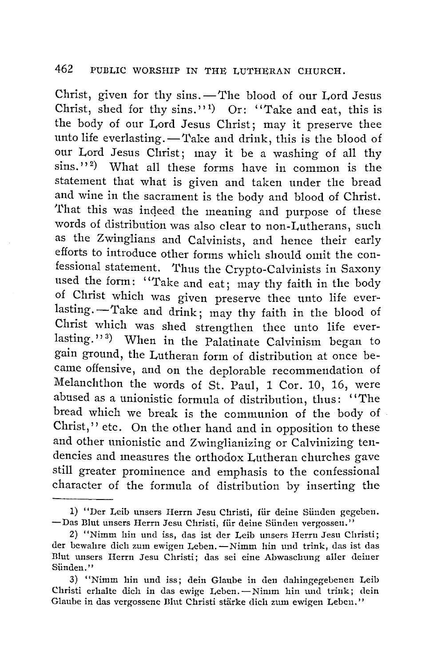Christ, given for thy sins. - The blood of our Lord Jesus Christ, shed for thy sins."<sup>1</sup>) Or: "Take and eat, this is the body of our Lord Jesus Christ; may it preserve thee unto life everlasting. - Take and drink, this is the blood of our Lord Jesus Christ; may it be a washing of all thy sins.'' <sup>2</sup> ) What all these forms have in common is the statement that what is given and taken under the bread and wine in the sacrament is the body and blood of Christ. That this was indeed the meaning and purpose of these words of distribution was also clear to non-Lutherans, such as the Zwinglians and Calvinists, and hence their early efforts to introduce other forms which should omit the confessional statement. 'l'hus the Crypto-Calvinists in Saxony used the form: ''Take and eat; may thy faith in the body of Christ which was given preserve thee unto life everlasting. - Take and drink; may thy faith in the blood of Christ which was shed strengthen thee unto life everlasting.''<sup>3</sup>) When in the Palatinate Calvinism began to gain ground, the Lutheran form of distribution at once became offensive, and on the deplorable recommendation of Melanchthon the words of St. Paul, 1 Cor. 10, 16, were abused as a unionistic formula of distribution, thus: ''The bread which we break is the communion of the body of Christ,'' etc. On the other hand and in opposition to these and other unionistic and Zwinglianizing or Calvinizing tendencies and measures the orthodox Lutheran churches gave still greater prominence and emphasis to the confessional character of the formula of distribution by inserting the

<sup>1) &</sup>quot;Der Leib unsers Herrn Jesu Christi, für deine Sünden gegeben. -Das Blut unsers Herrn Jesu Christi, für deine Sünden vergossen."

<sup>2) &</sup>quot;Nimm hin und iss, das ist der Leib unsers Herrn Jesu Christi; der bewahre dich zum ewigen Leben. - Nimm hin und trink, das ist das Illut unsers Herrn Jesu Christi; das sei eine Abwasclmng aller deiner Sünden."

<sup>3) &</sup>quot;Nimm hin und iss; dein Glaube in den dahingegebenen Leib Christi erhalte dich in das ewige Leben.-Nimm hin und trink; dein Glaube in das vergossene Blut Christi stärke dich zum ewigen Leben."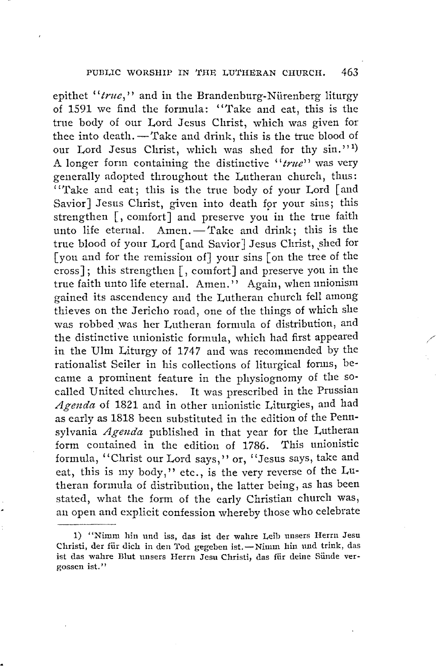epithet "*true*," and in the Brandenburg-Nürenberg liturgy of 1591 we find the formula: "Take and eat, this is the true body of our Lord Jesus Christ, which was given for thee into death. - Take and drink, this is the true blood of our Lord Jesus Christ, which was shed for thy sin."<sup>1</sup> A longer form containing the distinctive *"true"* was very generally adopted throughout the Lutheran church, thus: ''Take and eat; this is the true body of your Lord [ and Savior] Jesus Christ, given into death for your sins; this strengthen [, comfort **J** and preserve you **in** the true faith unto life eternal. Amen. - Take and drink; this is the true blood of your Lord [and Savior] Jesus Christ, shed for [you and for the remission of] your sins [ on the tree of the cross] ; this strengthen [, comfort J and preserve you in the true faith unto life eternal. Amen.'' Again, when unionism gained its ascendency and the Lutheran church fell among thieves on the Jericho road, one of the things of which she was robbed was her Lutheran formula of distribution, and the distinctive unionistic formula, which had first appeared in the **Ulm** Liturgy of 1747 and was recommended by the rationalist Seiler in his collections of liturgical forms, became a prominent feature in the physiognomy of the socalled United churches. It was prescribed in the Prussian *Agenda* of 1821 and in other unionistic Liturgies, and had as early as 1818 been substituted in the edition of the Pennsylvania *Agenda* published in that year for the Lutheran form contained in the edition of 1786. This unionistic formula, "Christ our Lord says," or, "Jesus says, take and eat, this is my body," etc., is the very reverse of the Lutheran formula of distribution, the latter being, as has been stated, what the form of the early Christian church was, an open and explicit confession whereby those who celebrate

<sup>1) &</sup>quot;Nimm hin und iss, das ist der wahre Leib unsers Herrn Jesu Christi, der für dich in den Tod gegeben ist.-Nimm hin und trink, das ist das wahre Blut unsers Herrn Jesu Christi, das fiir deine Siinde vergossen ist."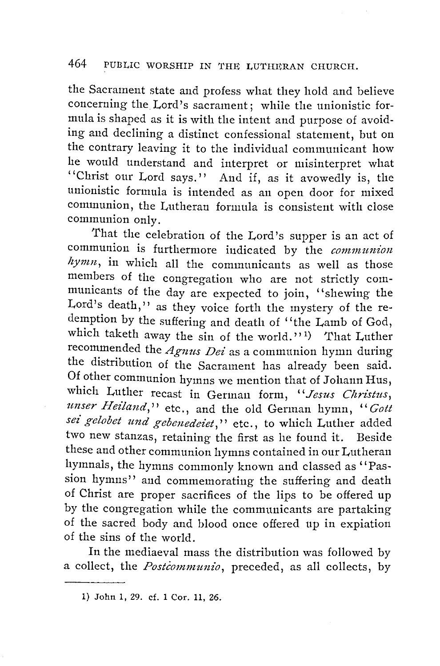the Sacrament state and profess what they hold and believe concerning the Lord's sacrament; while the unionistic formula is shaped as it is with the intent and purpose of avoiding and declining a distinct confessional statement, but on the contrary leaving it to the individual communicant how he would understand and interpret or misinterpret what ''Christ our Lord says.'' And if, as it avowedly is, the unionistic formula is intended as an open door for mixed communion, the Lutheran formula is consistent with close communion only.

That the celebration of the Lord's supper is an act of communion is furthermore indicated by the *communion hymn,* in which all the communicants as well as those members of the congregation who are not strictly communicants of the day are expected to join, "shewing the Lord's death," as they voice forth the mystery of the redemption by the suffering and death of "the Lamb of God, which taketh away the sin of the world.''<sup>1</sup>) That Luther recommended the *Agnus Dei* as a communion hymn during the distribution of the Sacrament has already been said. Of other communion hymns we mention that of Johann Hus, which Luther recast in German form, "Jesus Christus, *unser Heiland,''* etc., and the old German hymn, '' *Gott sei gelobet und gebenedeiet,* '' etc., to which Luther added two new stanzas, retaining the first as he found it. Beside these and other communion hymns contained in our Lutheran hymnals, the hymns commonly known and classed as "Passion hymns'' and commemorating the suffering and death of Christ are proper sacrifices of the lips to be offered up by the congregation while the communicants are partaking of the sacred body and blood once offered up in expiation of the sins of the world.

In the mediaeval mass the distribution was followed by a collect, the *Postcommunio,* preceded, as all collects, by

<sup>1)</sup> John 1, 29. cf. 1 Cor. 11, 26.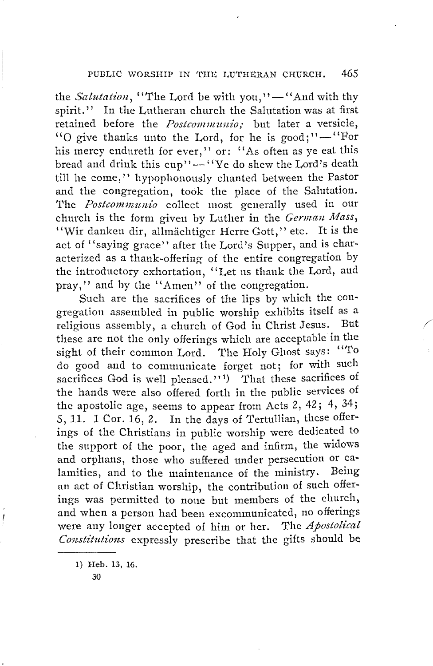the *Salutation*, "The Lord be with you," $-$ "And with thy spirit.'' In the Lutheran church the Salutation was at first retained before the *Postcommunio*; but later a versicle, "O give thanks unto the Lord, for he is good;" $-$ "For his mercy endureth for ever," or: "As often as ye eat this bread and drink this cup"-"'Ye do shew the Lord's death till he come," hypophonously chanted between the Pastor and the congregation, took the place of the Salutation. The *Postcommunio* collect most generally used in our church is the form given by Luther in the *German Mass*, "Wir danken dir, allmächtiger Herre Gott," etc. It is the act of "saying grace" after the Lord's Supper, and is characterized as a thank-offering of the entire congregation by the introductory exhortation, ''Let us thank the Lord, aud pray,'' and by the ''Amen'' of the congregation.

Such are the sacrifices of the lips by which the congregation assembled in public worship exhibits itself as a religious assembly a church of God in Christ Jesus. But religious assembly, a church of God in Christ Jesus. these are not the only offerings which are acceptable in the sight of their common Lord. The Holy Ghost says: "To do good and to communicate forget not; for with such sacrifices God is well pleased."<sup>1</sup>) That these sacrifices of the hands were also offered forth in the public services of the apostolic age, seems to appear from Acts 2, 42; 4, 34; 5, 11. 1 Cor. 16, 2. In the days of Tertullian, these offerings of the Christians in public worship were dedicated to the support of the poor, the aged and infirm, the widows and orphans, those who suffered under persecution or calamities, and to the maintenance of the ministry. Being an act of Christian worship, the contribution of such offerings was permitted to none but members of the church, and when a person had been excommunicated, no offerings were any longer accepted of him or her. The *Apostolical* Constitutions expressly prescribe that the gifts should be

1) Heb. 13, 16.

30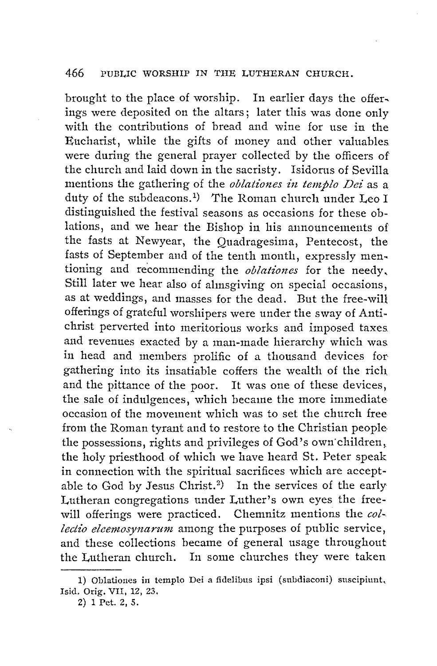brought to the place of worship. In earlier days the offer, ings were deposited on the altars; later this was done only with the contributions of bread and wine for use in the Eucharist, while the gifts of money and other valuables were during the general prayer collected by the officers of the church and laid down in the sacristy. Isidorus of Sevilla mentions the gathering of the *oblationes in templo Dei* as a duty of the subdeacons.<sup>1</sup>) The Roman church under Leo I distinguished the festival seasons as occasions for these oblations, and we hear the Bishop in his announcements of the fasts at Newyear, the Quadragesima, Pentecost, the fasts of September and of the tenth month, expressly men~ tioning and recommending the *oblationes* for the needy, Still later we hear also of ahnsgiving on special occasions, as at weddings, and masses for the dead. But the free-will offerings of grateful worshipers were under the sway of Antichrist perverted into meritorious works and imposed taxes. and revenues exacted by a man-made hierarchy which was in head and members prolific of a thousand devices for gathering into its insatiable coffers the wealth of the rich and the pittance of the poor. It was one of these devices, the sale of indulgences, which became the more immediate occasion of the movement which was to set the church free from the Roman tyrant and to restore to the Christian people the possessions, rights and privileges of God's own children, the holy priesthood of which we have heard St. Peter speak in connection with the spiritual sacrifices which are acceptable to God by Jesus Christ.<sup>2</sup>) In the services of the early Lutheran congregations under Luther's own eyes the freewill offerings were practiced. Chemnitz mentions the *collectio eleemosynarum* among the purposes of public service, and these collections became of general usage throughout the Lutheran church. In some churches they were taken

<sup>1)</sup> Oblationes in templo Dei a fidelibus ipsi (subdiaconi) suscipiunt, Isid. Orig. VII, 12, 23.

<sup>2)</sup> l Pet. 2, S.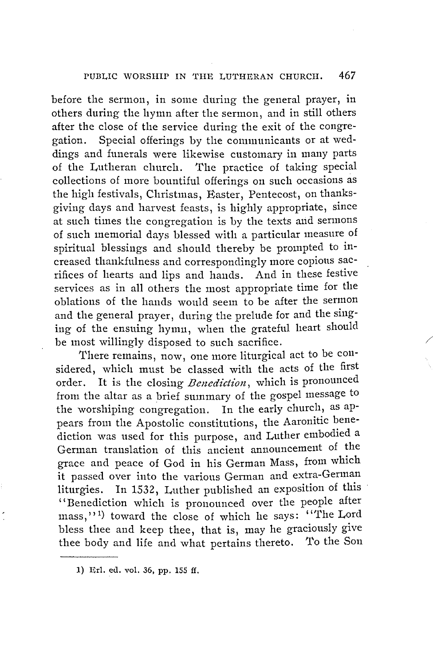before the sermon, in some during the general prayer, in others during the hymn after the sermon, and in still others after the close of the service during the exit of the congregation. Special offerings by the communicants or at weddings and funerals were likewise customary in many parts of the Lutheran church. The practice of taking special collections of more bountiful offerings on such occasions as the high festivals, Christmas, Easter, Pentecost, on thanksgiving days and harvest feasts, is highly appropriate, since at such times the congregation is by the texts and sermons of such memorial days blessed with a particular measure of spiritual blessings and should thereby be prompted to increased thankfulness and correspondingly more copious sacrifices of hearts and lips and hands. And in these festive services as in all others the most appropriate time for the oblations of the hands would seem to be after the sermon and the general prayer, during the prelude for and the singing of the ensuing hymn, when the grateful heart should be most willingly disposed to such sacrifice.

There remains, now, one more liturgical act to be considered, which must be classed with the acts of the first order. It is the closing *Benediction,* which is pronounced from the altar as a brief summary of the gospel message to the worshiping congregation. In the early church, as appears from the Apostolic constitutions, the Aaronitic benediction was used for this purpose, and Luther embodied a German translation of this ancient announcement of the grace and peace of God in his German Mass, from which it passed over into the various German and extra-German liturgies. In 1532, Luther published an exposition of this '' Benediction which is pronounced over the people after mass,"<sup>1</sup>) toward the close of which he says: "The Lord bless thee and keep thee, that is, may he graciously give thee body and life and what pertains thereto. To the Son

/

<sup>1)</sup> Erl. ed. vol. 36, pp. 155 ff.